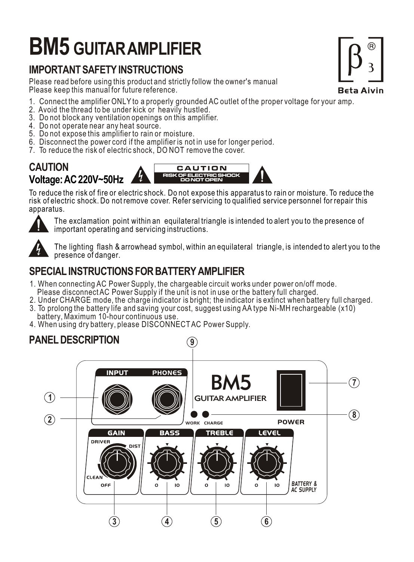# **BM5 GUITAR AMPLIFIER**

## **IMPORTANT SAFETY INSTRUCTIONS**

Please read before using this product and strictly follow the owner's manual Please keep this manual for future reference.

- 1. Connect the amplifier ONLY to a properly grounded AC outlet of the proper voltage for your amp.
- 2. Avoid the thread to be under kick or heavily hustled.
- 3. Do not block any ventilation openings on this amplifier.
- 4. Do not operate near any heat source.
- 5. Do not expose this amplifier to rain or moisture.
- 6. Disconnect the power cord if the amplifier is not in use for longer period.
- 7. To reduce the risk of electric shock, DO NOT remove the cover.



To reduce the risk of fire or electric shock. Do not expose this apparatus to rain or moisture. To reduce the risk of electric shock. Do not remove cover. Refer servicing to qualified service personnel for repair this apparatus.



The exclamation point within an equilateral triangle is intended to alert you to the presence of important operating and servicing instructions.



The lighting flash & arrowhead symbol, within an equilateral triangle, is intended to alert you to the presence of danger.

## **SPECIAL INSTRUCTIONS FOR BATTERY AMPLIFIER**

- 1. When connecting AC Power Supply, the chargeable circuit works under power on/off mode. Please disconnect AC Power Supply if the unit is not in use or the battery full charged.
- 2. Under CHARGE mode, the charge indicator is bright; the indicator is extinct when battery full charged.
- 3. To prolong the battery life and saving your cost, suggest using AA type Ni-MH rechargeable (x10) battery, Maximum 10-hour continuous use.
- 4. When using dry battery, please DISCONNECTAC Power Supply.

#### **PANEL DESCRIPTION**